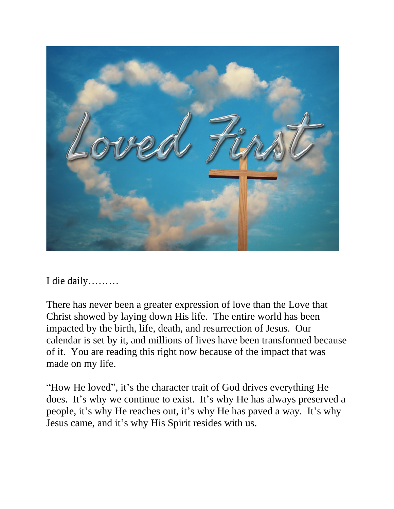

I die daily………

There has never been a greater expression of love than the Love that Christ showed by laying down His life. The entire world has been impacted by the birth, life, death, and resurrection of Jesus. Our calendar is set by it, and millions of lives have been transformed because of it. You are reading this right now because of the impact that was made on my life.

"How He loved", it's the character trait of God drives everything He does. It's why we continue to exist. It's why He has always preserved a people, it's why He reaches out, it's why He has paved a way. It's why Jesus came, and it's why His Spirit resides with us.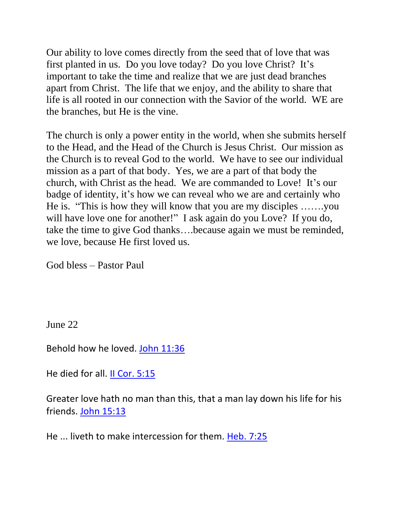Our ability to love comes directly from the seed that of love that was first planted in us. Do you love today? Do you love Christ? It's important to take the time and realize that we are just dead branches apart from Christ. The life that we enjoy, and the ability to share that life is all rooted in our connection with the Savior of the world. WE are the branches, but He is the vine.

The church is only a power entity in the world, when she submits herself to the Head, and the Head of the Church is Jesus Christ. Our mission as the Church is to reveal God to the world. We have to see our individual mission as a part of that body. Yes, we are a part of that body the church, with Christ as the head. We are commanded to Love! It's our badge of identity, it's how we can reveal who we are and certainly who He is. "This is how they will know that you are my disciples …….you will have love one for another!" I ask again do you Love? If you do, take the time to give God thanks….because again we must be reminded, we love, because He first loved us.

God bless – Pastor Paul

June 22

Behold how he loved. [John 11:36](https://biblia.com/bible/nkjv/John%2011.36)

He died for all. [II Cor. 5:15](https://biblia.com/bible/nkjv/2%20Cor.%205.15)

Greater love hath no man than this, that a man lay down his life for his friends. [John 15:13](https://biblia.com/bible/nkjv/John%2015.13)

He ... liveth to make intercession for them. [Heb. 7:25](https://biblia.com/bible/nkjv/Heb.%207.25)